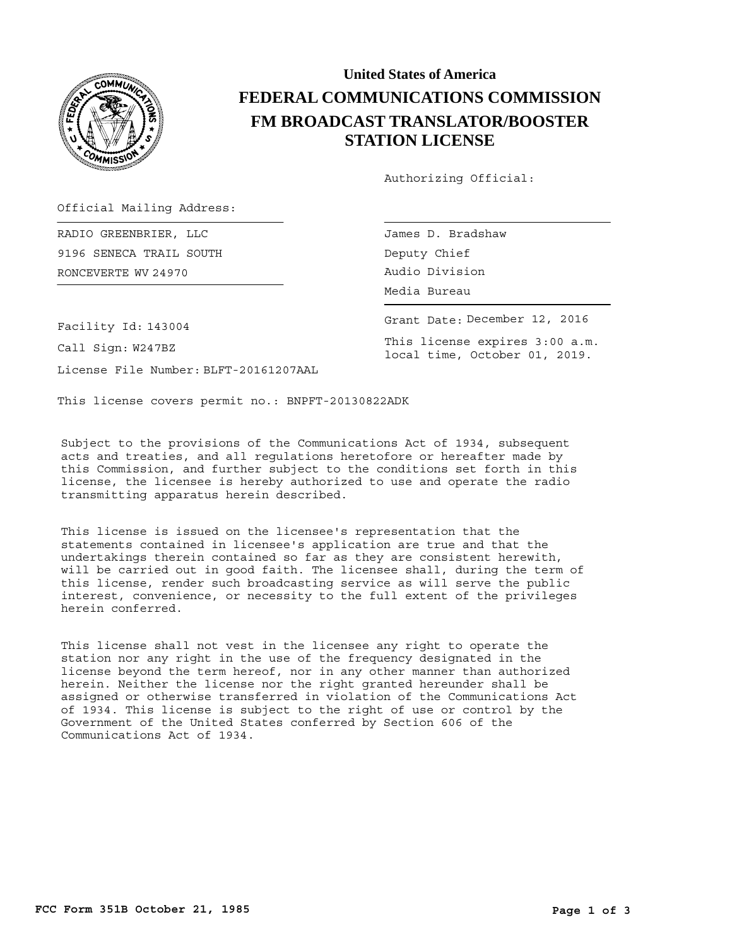

## **United States of America FEDERAL COMMUNICATIONS COMMISSION FM BROADCAST TRANSLATOR/BOOSTER STATION LICENSE**

Authorizing Official:

Official Mailing Address:

RONCEVERTE Audio Division WV 24970 RADIO GREENBRIER, LLC 9196 SENECA TRAIL SOUTH

James D. Bradshaw Deputy Chief Media Bureau

Grant Date: December 12, 2016

This license expires 3:00 a.m. local time, October 01, 2019.

Facility Id: 143004

Call Sign: W247BZ

License File Number: BLFT-20161207AAL

This license covers permit no.: BNPFT-20130822ADK

Subject to the provisions of the Communications Act of 1934, subsequent acts and treaties, and all regulations heretofore or hereafter made by this Commission, and further subject to the conditions set forth in this license, the licensee is hereby authorized to use and operate the radio transmitting apparatus herein described.

This license is issued on the licensee's representation that the statements contained in licensee's application are true and that the undertakings therein contained so far as they are consistent herewith, will be carried out in good faith. The licensee shall, during the term of this license, render such broadcasting service as will serve the public interest, convenience, or necessity to the full extent of the privileges herein conferred.

This license shall not vest in the licensee any right to operate the station nor any right in the use of the frequency designated in the license beyond the term hereof, nor in any other manner than authorized herein. Neither the license nor the right granted hereunder shall be assigned or otherwise transferred in violation of the Communications Act of 1934. This license is subject to the right of use or control by the Government of the United States conferred by Section 606 of the Communications Act of 1934.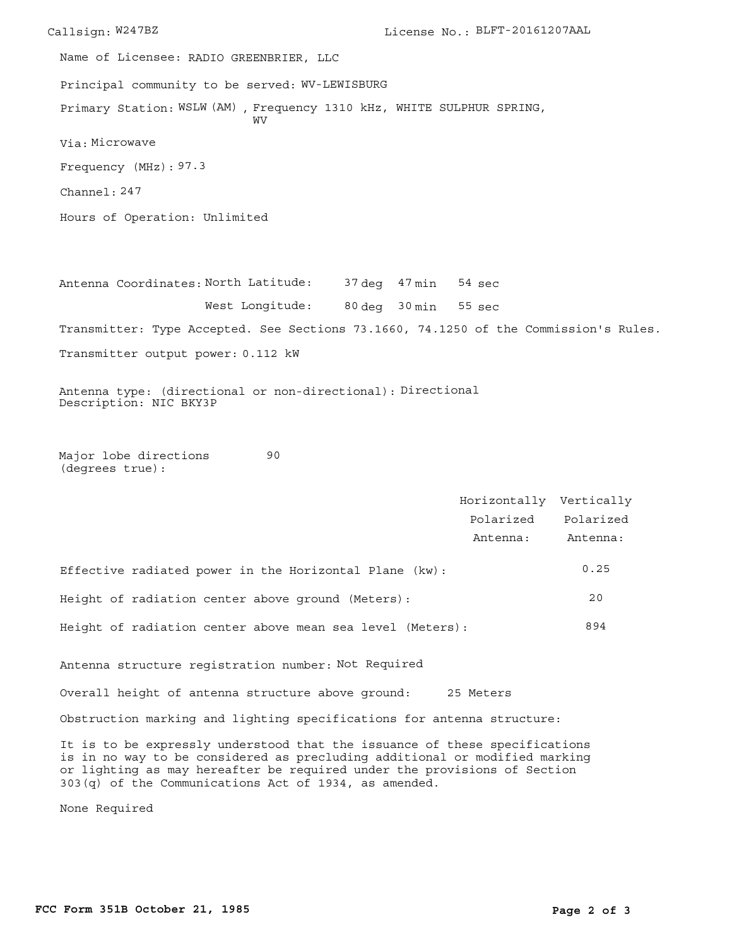Callsign: W247BZ License No.: BLFT-20161207AAL Principal community to be served: WV-LEWISBURG Hours of Operation: Unlimited Frequency (MHz): 97.3 Via: Microwave Primary Station: WSLW (AM), Frequency 1310 kHz, WHITE SULPHUR SPRING, Channel: 247 Name of Licensee: RADIO GREENBRIER, LLC **WV** 

Antenna Coordinates: North Latitude: 37 deg 47 min 80 deg 30 min West Longitude: Transmitter: Type Accepted. See Sections 73.1660, 74.1250 of the Commission's Rules. Transmitter output power: 0.112 kW sec 55 sec 54

Antenna type: (directional or non-directional): Directional Description: NIC BKY3P

Major lobe directions (degrees true): 90

|                                                           | Horizontally Vertically |           |
|-----------------------------------------------------------|-------------------------|-----------|
|                                                           | Polarized               | Polarized |
|                                                           | Antenna:                | Antenna:  |
| Effective radiated power in the Horizontal Plane (kw):    |                         | 0.25      |
| Height of radiation center above ground (Meters):         |                         | 20        |
| Height of radiation center above mean sea level (Meters): |                         | 894       |

Antenna structure registration number: Not Required

Overall height of antenna structure above ground: 25 Meters

Obstruction marking and lighting specifications for antenna structure:

It is to be expressly understood that the issuance of these specifications is in no way to be considered as precluding additional or modified marking or lighting as may hereafter be required under the provisions of Section 303(q) of the Communications Act of 1934, as amended.

None Required